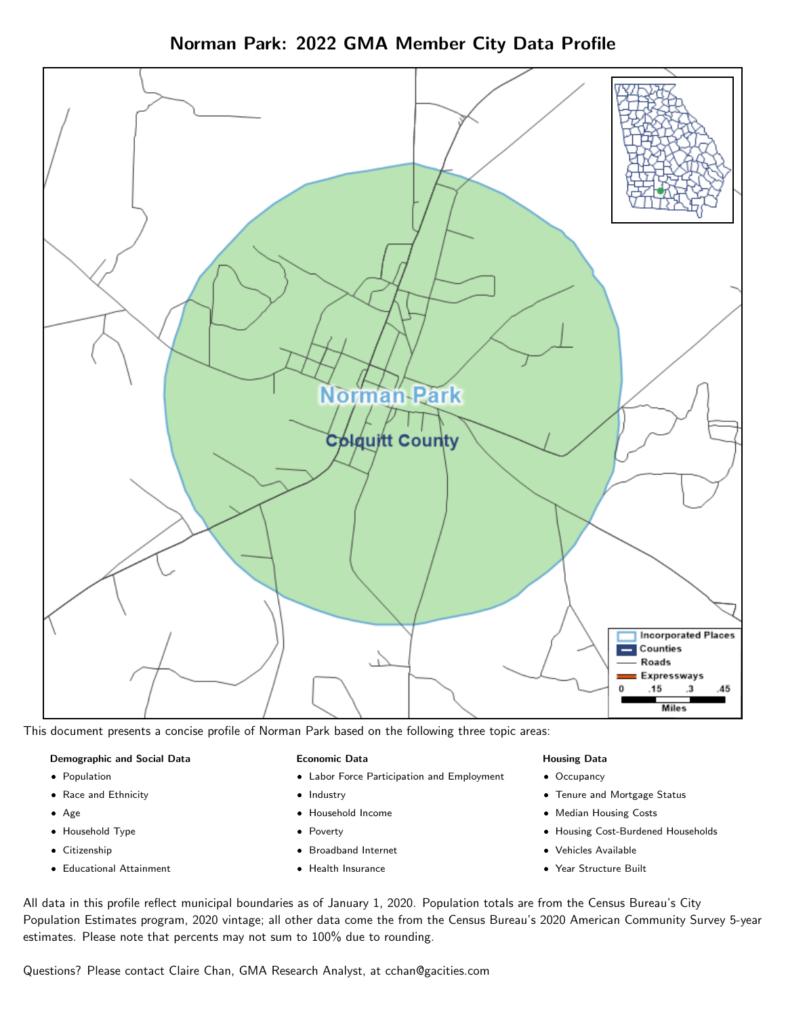Norman Park: 2022 GMA Member City Data Profile



This document presents a concise profile of Norman Park based on the following three topic areas:

#### Demographic and Social Data

- **•** Population
- Race and Ethnicity
- Age
- Household Type
- **Citizenship**
- Educational Attainment

#### Economic Data

- Labor Force Participation and Employment
- Industry
- Household Income
- Poverty
- Broadband Internet
- Health Insurance

### Housing Data

- Occupancy
- Tenure and Mortgage Status
- Median Housing Costs
- Housing Cost-Burdened Households
- Vehicles Available
- Year Structure Built

All data in this profile reflect municipal boundaries as of January 1, 2020. Population totals are from the Census Bureau's City Population Estimates program, 2020 vintage; all other data come the from the Census Bureau's 2020 American Community Survey 5-year estimates. Please note that percents may not sum to 100% due to rounding.

Questions? Please contact Claire Chan, GMA Research Analyst, at [cchan@gacities.com.](mailto:cchan@gacities.com)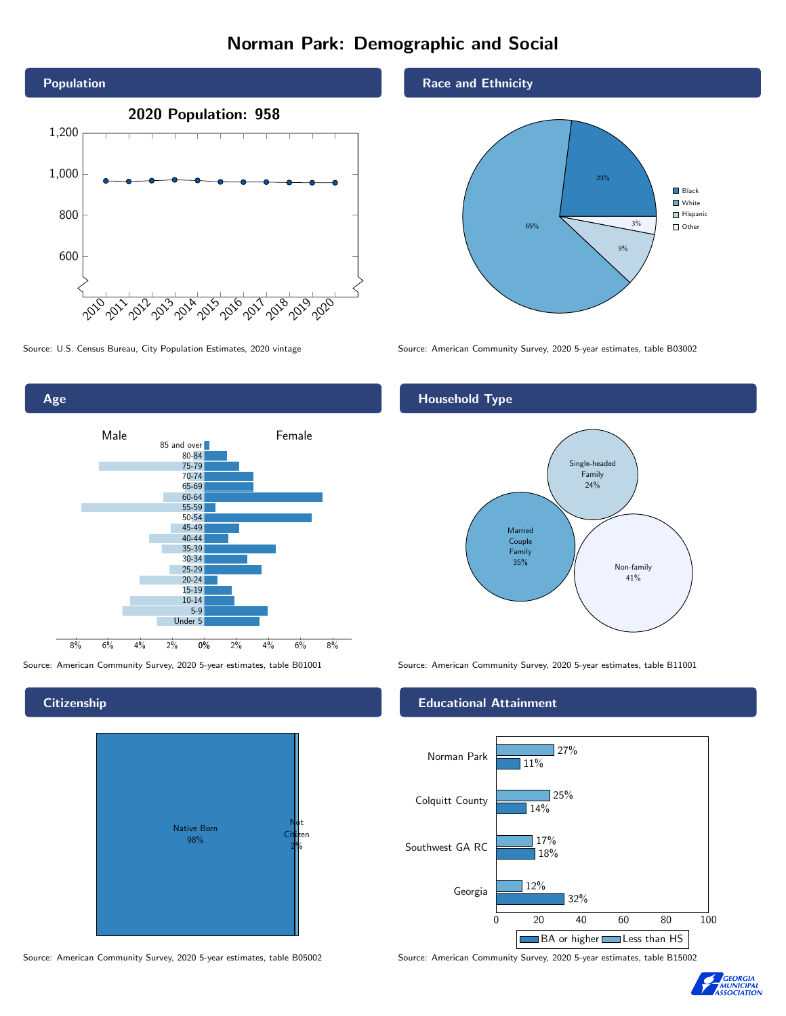# Norman Park: Demographic and Social



0% 2% 4% 6% 8% Male **Female** 8% 6% 4% 2% 85 and over 80-84 75-79 70-74 65-69 60-64 55-59 50-54 45-49 40-44 35-39 30-34 25-29 20-24 15-19  $10-14$ 5-9 Under 5

**Citizenship** 

Age



Source: American Community Survey, 2020 5-year estimates, table B05002 Source: American Community Survey, 2020 5-year estimates, table B15002

Race and Ethnicity



Source: U.S. Census Bureau, City Population Estimates, 2020 vintage Source: American Community Survey, 2020 5-year estimates, table B03002

## Household Type



Source: American Community Survey, 2020 5-year estimates, table B01001 Source: American Community Survey, 2020 5-year estimates, table B11001

### Educational Attainment



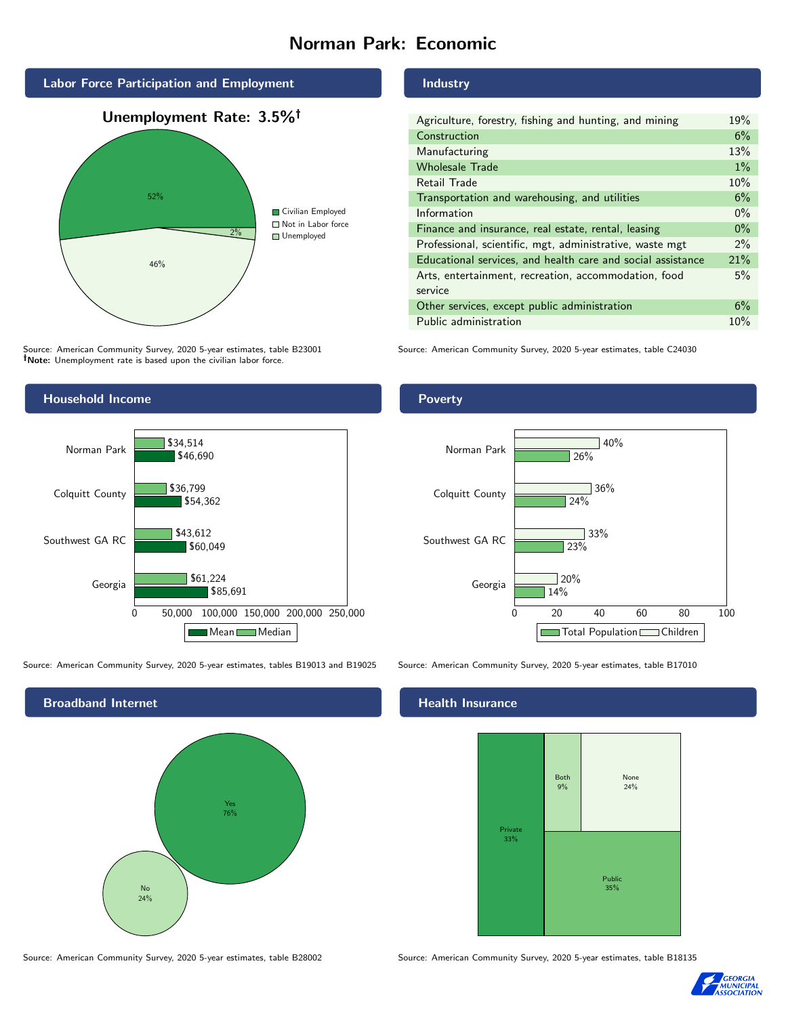# Norman Park: Economic



Source: American Community Survey, 2020 5-year estimates, table B23001 Note: Unemployment rate is based upon the civilian labor force.

### Industry

| Agriculture, forestry, fishing and hunting, and mining      | 19%   |
|-------------------------------------------------------------|-------|
| Construction                                                | 6%    |
| Manufacturing                                               | 13%   |
| <b>Wholesale Trade</b>                                      | $1\%$ |
| Retail Trade                                                | 10%   |
| Transportation and warehousing, and utilities               | 6%    |
| Information                                                 | $0\%$ |
| Finance and insurance, real estate, rental, leasing         | $0\%$ |
| Professional, scientific, mgt, administrative, waste mgt    | $2\%$ |
| Educational services, and health care and social assistance | 21%   |
| Arts, entertainment, recreation, accommodation, food        | 5%    |
| service                                                     |       |
| Other services, except public administration                | 6%    |
| Public administration                                       | 10%   |

Source: American Community Survey, 2020 5-year estimates, table C24030



Source: American Community Survey, 2020 5-year estimates, tables B19013 and B19025 Source: American Community Survey, 2020 5-year estimates, table B17010



### Health Insurance



Source: American Community Survey, 2020 5-year estimates, table B28002 Source: American Community Survey, 2020 5-year estimates, table B18135



#### Poverty